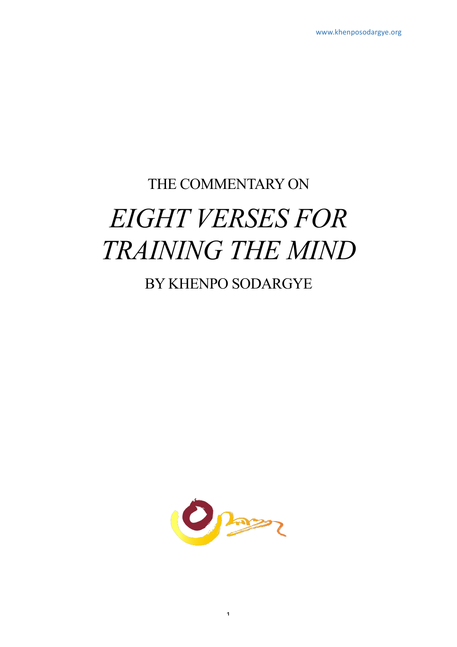# THE COMMENTARY ON *EIGHT VERSES FOR TRAINING THE MIND*

# BY KHENPO SODARGYE

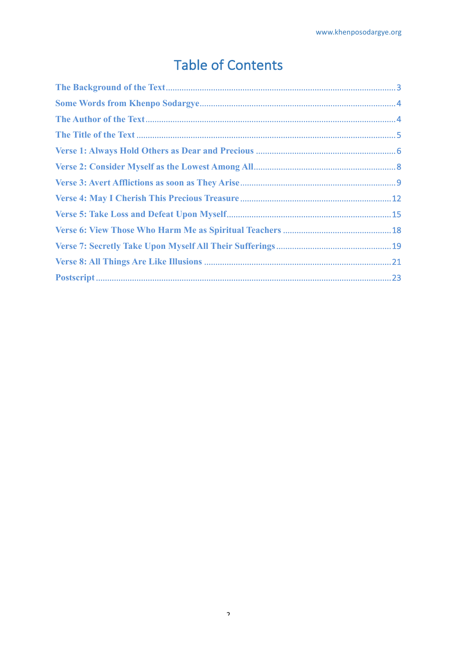# **Table of Contents**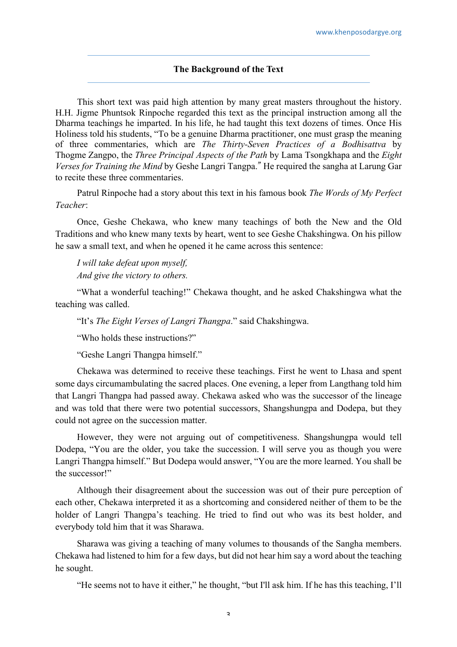#### **The Background of the Text**

This short text was paid high attention by many great masters throughout the history. H.H. Jigme Phuntsok Rinpoche regarded this text as the principal instruction among all the Dharma teachings he imparted. In his life, he had taught this text dozens of times. Once His Holiness told his students, "To be a genuine Dharma practitioner, one must grasp the meaning of three commentaries, which are *The Thirty-Seven Practices of a Bodhisattva* by Thogme Zangpo, the *Three Principal Aspects of the Path* by Lama Tsongkhapa and the *Eight Verses for Training the Mind* by Geshe Langri Tangpa." He required the sangha at Larung Gar to recite these three commentaries.

Patrul Rinpoche had a story about this text in his famous book *The Words of My Perfect Teacher*:

Once, Geshe Chekawa, who knew many teachings of both the New and the Old Traditions and who knew many texts by heart, went to see Geshe Chakshingwa. On his pillow he saw a small text, and when he opened it he came across this sentence:

*I will take defeat upon myself, And give the victory to others.*

"What a wonderful teaching!" Chekawa thought, and he asked Chakshingwa what the teaching was called.

"It's *The Eight Verses of Langri Thangpa*." said Chakshingwa.

"Who holds these instructions?"

"Geshe Langri Thangpa himself."

Chekawa was determined to receive these teachings. First he went to Lhasa and spent some days circumambulating the sacred places. One evening, a leper from Langthang told him that Langri Thangpa had passed away. Chekawa asked who was the successor of the lineage and was told that there were two potential successors, Shangshungpa and Dodepa, but they could not agree on the succession matter.

However, they were not arguing out of competitiveness. Shangshungpa would tell Dodepa, "You are the older, you take the succession. I will serve you as though you were Langri Thangpa himself." But Dodepa would answer, "You are the more learned. You shall be the successor!"

Although their disagreement about the succession was out of their pure perception of each other, Chekawa interpreted it as a shortcoming and considered neither of them to be the holder of Langri Thangpa's teaching. He tried to find out who was its best holder, and everybody told him that it was Sharawa.

Sharawa was giving a teaching of many volumes to thousands of the Sangha members. Chekawa had listened to him for a few days, but did not hear him say a word about the teaching he sought.

"He seems not to have it either," he thought, "but I'll ask him. If he has this teaching, I'll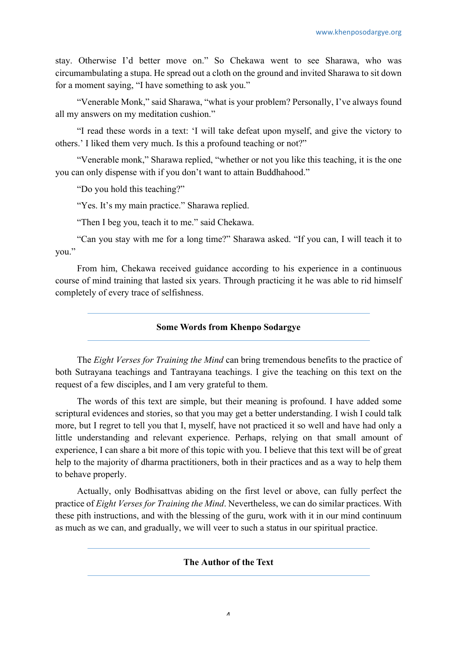stay. Otherwise I'd better move on." So Chekawa went to see Sharawa, who was circumambulating a stupa. He spread out a cloth on the ground and invited Sharawa to sit down for a moment saying, "I have something to ask you."

"Venerable Monk," said Sharawa, "what is your problem? Personally, I've always found all my answers on my meditation cushion."

"I read these words in a text: 'I will take defeat upon myself, and give the victory to others.' I liked them very much. Is this a profound teaching or not?"

"Venerable monk," Sharawa replied, "whether or not you like this teaching, it is the one you can only dispense with if you don't want to attain Buddhahood."

"Do you hold this teaching?"

"Yes. It's my main practice." Sharawa replied.

"Then I beg you, teach it to me." said Chekawa.

"Can you stay with me for a long time?" Sharawa asked. "If you can, I will teach it to you."

From him, Chekawa received guidance according to his experience in a continuous course of mind training that lasted six years. Through practicing it he was able to rid himself completely of every trace of selfishness.

**Some Words from Khenpo Sodargye**

The *Eight Verses for Training the Mind* can bring tremendous benefits to the practice of both Sutrayana teachings and Tantrayana teachings. I give the teaching on this text on the request of a few disciples, and I am very grateful to them.

The words of this text are simple, but their meaning is profound. I have added some scriptural evidences and stories, so that you may get a better understanding. I wish I could talk more, but I regret to tell you that I, myself, have not practiced it so well and have had only a little understanding and relevant experience. Perhaps, relying on that small amount of experience, I can share a bit more of this topic with you. I believe that this text will be of great help to the majority of dharma practitioners, both in their practices and as a way to help them to behave properly.

Actually, only Bodhisattvas abiding on the first level or above, can fully perfect the practice of *Eight Verses for Training the Mind*. Nevertheless, we can do similar practices. With these pith instructions, and with the blessing of the guru, work with it in our mind continuum as much as we can, and gradually, we will veer to such a status in our spiritual practice.

#### **The Author of the Text**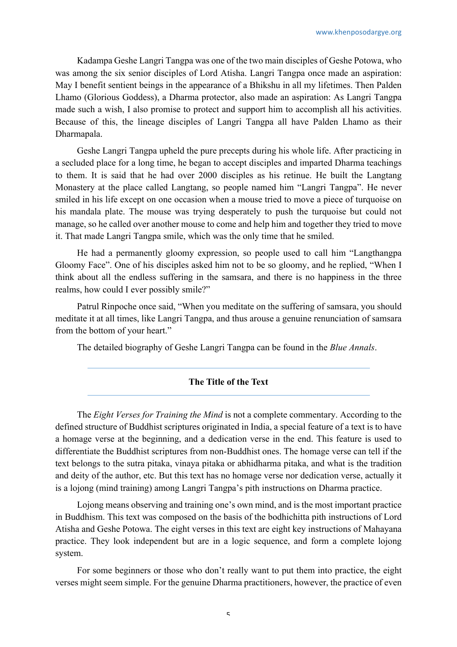Kadampa Geshe Langri Tangpa was one of the two main disciples of Geshe Potowa, who was among the six senior disciples of Lord Atisha. Langri Tangpa once made an aspiration: May I benefit sentient beings in the appearance of a Bhikshu in all my lifetimes. Then Palden Lhamo (Glorious Goddess), a Dharma protector, also made an aspiration: As Langri Tangpa made such a wish, I also promise to protect and support him to accomplish all his activities. Because of this, the lineage disciples of Langri Tangpa all have Palden Lhamo as their Dharmapala.

Geshe Langri Tangpa upheld the pure precepts during his whole life. After practicing in a secluded place for a long time, he began to accept disciples and imparted Dharma teachings to them. It is said that he had over 2000 disciples as his retinue. He built the Langtang Monastery at the place called Langtang, so people named him "Langri Tangpa". He never smiled in his life except on one occasion when a mouse tried to move a piece of turquoise on his mandala plate. The mouse was trying desperately to push the turquoise but could not manage, so he called over another mouse to come and help him and together they tried to move it. That made Langri Tangpa smile, which was the only time that he smiled.

He had a permanently gloomy expression, so people used to call him "Langthangpa Gloomy Face". One of his disciples asked him not to be so gloomy, and he replied, "When I think about all the endless suffering in the samsara, and there is no happiness in the three realms, how could I ever possibly smile?"

Patrul Rinpoche once said, "When you meditate on the suffering of samsara, you should meditate it at all times, like Langri Tangpa, and thus arouse a genuine renunciation of samsara from the bottom of your heart."

The detailed biography of Geshe Langri Tangpa can be found in the *Blue Annals*.

# **The Title of the Text**

The *Eight Verses for Training the Mind* is not a complete commentary. According to the defined structure of Buddhist scriptures originated in India, a special feature of a text is to have a homage verse at the beginning, and a dedication verse in the end. This feature is used to differentiate the Buddhist scriptures from non-Buddhist ones. The homage verse can tell if the text belongs to the sutra pitaka, vinaya pitaka or abhidharma pitaka, and what is the tradition and deity of the author, etc. But this text has no homage verse nor dedication verse, actually it is a lojong (mind training) among Langri Tangpa's pith instructions on Dharma practice.

Lojong means observing and training one's own mind, and is the most important practice in Buddhism. This text was composed on the basis of the bodhichitta pith instructions of Lord Atisha and Geshe Potowa. The eight verses in this text are eight key instructions of Mahayana practice. They look independent but are in a logic sequence, and form a complete lojong system.

For some beginners or those who don't really want to put them into practice, the eight verses might seem simple. For the genuine Dharma practitioners, however, the practice of even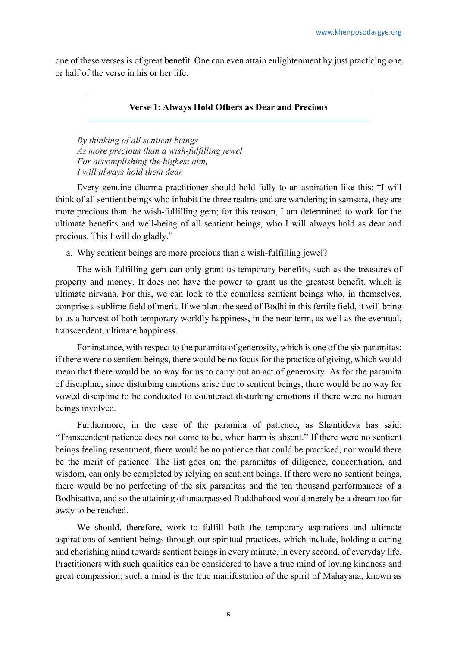one of these verses is of great benefit. One can even attain enlightenment by just practicing one or half of the verse in his or her life.

# **Verse 1: Always Hold Others as Dear and Precious**

*By thinking of all sentient beings As more precious than a wish-fulfilling jewel For accomplishing the highest aim, I will always hold them dear.*

Every genuine dharma practitioner should hold fully to an aspiration like this: "I will think of all sentient beings who inhabit the three realms and are wandering in samsara, they are more precious than the wish-fulfilling gem; for this reason, I am determined to work for the ultimate benefits and well-being of all sentient beings, who I will always hold as dear and precious. This I will do gladly."

a. Why sentient beings are more precious than a wish-fulfilling jewel?

The wish-fulfilling gem can only grant us temporary benefits, such as the treasures of property and money. It does not have the power to grant us the greatest benefit, which is ultimate nirvana. For this, we can look to the countless sentient beings who, in themselves, comprise a sublime field of merit. If we plant the seed of Bodhi in this fertile field, it will bring to us a harvest of both temporary worldly happiness, in the near term, as well as the eventual, transcendent, ultimate happiness.

For instance, with respect to the paramita of generosity, which is one of the six paramitas: if there were no sentient beings, there would be no focus for the practice of giving, which would mean that there would be no way for us to carry out an act of generosity. As for the paramita of discipline, since disturbing emotions arise due to sentient beings, there would be no way for vowed discipline to be conducted to counteract disturbing emotions if there were no human beings involved.

Furthermore, in the case of the paramita of patience, as Shantideva has said: "Transcendent patience does not come to be, when harm is absent." If there were no sentient beings feeling resentment, there would be no patience that could be practiced, nor would there be the merit of patience. The list goes on; the paramitas of diligence, concentration, and wisdom, can only be completed by relying on sentient beings. If there were no sentient beings, there would be no perfecting of the six paramitas and the ten thousand performances of a Bodhisattva, and so the attaining of unsurpassed Buddhahood would merely be a dream too far away to be reached.

We should, therefore, work to fulfill both the temporary aspirations and ultimate aspirations of sentient beings through our spiritual practices, which include, holding a caring and cherishing mind towards sentient beings in every minute, in every second, of everyday life. Practitioners with such qualities can be considered to have a true mind of loving kindness and great compassion; such a mind is the true manifestation of the spirit of Mahayana, known as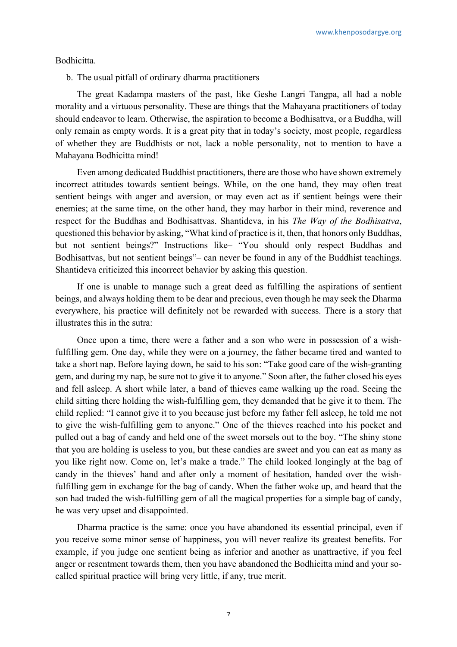#### Bodhicitta.

b. The usual pitfall of ordinary dharma practitioners

The great Kadampa masters of the past, like Geshe Langri Tangpa, all had a noble morality and a virtuous personality. These are things that the Mahayana practitioners of today should endeavor to learn. Otherwise, the aspiration to become a Bodhisattva, or a Buddha, will only remain as empty words. It is a great pity that in today's society, most people, regardless of whether they are Buddhists or not, lack a noble personality, not to mention to have a Mahayana Bodhicitta mind!

Even among dedicated Buddhist practitioners, there are those who have shown extremely incorrect attitudes towards sentient beings. While, on the one hand, they may often treat sentient beings with anger and aversion, or may even act as if sentient beings were their enemies; at the same time, on the other hand, they may harbor in their mind, reverence and respect for the Buddhas and Bodhisattvas. Shantideva, in his *The Way of the Bodhisattva*, questioned this behavior by asking, "What kind of practice is it, then, that honors only Buddhas, but not sentient beings?" Instructions like– "You should only respect Buddhas and Bodhisattvas, but not sentient beings"– can never be found in any of the Buddhist teachings. Shantideva criticized this incorrect behavior by asking this question.

If one is unable to manage such a great deed as fulfilling the aspirations of sentient beings, and always holding them to be dear and precious, even though he may seek the Dharma everywhere, his practice will definitely not be rewarded with success. There is a story that illustrates this in the sutra:

Once upon a time, there were a father and a son who were in possession of a wishfulfilling gem. One day, while they were on a journey, the father became tired and wanted to take a short nap. Before laying down, he said to his son: "Take good care of the wish-granting gem, and during my nap, be sure not to give it to anyone." Soon after, the father closed his eyes and fell asleep. A short while later, a band of thieves came walking up the road. Seeing the child sitting there holding the wish-fulfilling gem, they demanded that he give it to them. The child replied: "I cannot give it to you because just before my father fell asleep, he told me not to give the wish-fulfilling gem to anyone." One of the thieves reached into his pocket and pulled out a bag of candy and held one of the sweet morsels out to the boy. "The shiny stone that you are holding is useless to you, but these candies are sweet and you can eat as many as you like right now. Come on, let's make a trade." The child looked longingly at the bag of candy in the thieves' hand and after only a moment of hesitation, handed over the wishfulfilling gem in exchange for the bag of candy. When the father woke up, and heard that the son had traded the wish-fulfilling gem of all the magical properties for a simple bag of candy, he was very upset and disappointed.

Dharma practice is the same: once you have abandoned its essential principal, even if you receive some minor sense of happiness, you will never realize its greatest benefits. For example, if you judge one sentient being as inferior and another as unattractive, if you feel anger or resentment towards them, then you have abandoned the Bodhicitta mind and your socalled spiritual practice will bring very little, if any, true merit.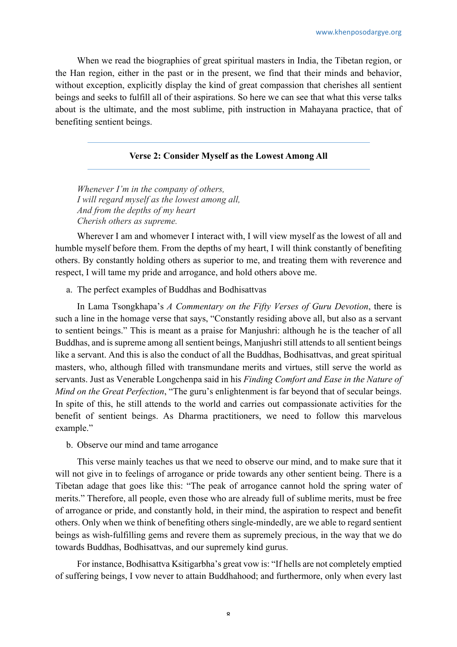When we read the biographies of great spiritual masters in India, the Tibetan region, or the Han region, either in the past or in the present, we find that their minds and behavior, without exception, explicitly display the kind of great compassion that cherishes all sentient beings and seeks to fulfill all of their aspirations. So here we can see that what this verse talks about is the ultimate, and the most sublime, pith instruction in Mahayana practice, that of benefiting sentient beings.

# **Verse 2: Consider Myself as the Lowest Among All**

*Whenever I'm in the company of others, I will regard myself as the lowest among all, And from the depths of my heart Cherish others as supreme.*

Wherever I am and whomever I interact with, I will view myself as the lowest of all and humble myself before them. From the depths of my heart, I will think constantly of benefiting others. By constantly holding others as superior to me, and treating them with reverence and respect, I will tame my pride and arrogance, and hold others above me.

a. The perfect examples of Buddhas and Bodhisattvas

In Lama Tsongkhapa's *A Commentary on the Fifty Verses of Guru Devotion*, there is such a line in the homage verse that says, "Constantly residing above all, but also as a servant to sentient beings." This is meant as a praise for Manjushri: although he is the teacher of all Buddhas, and is supreme among all sentient beings, Manjushri still attends to all sentient beings like a servant. And this is also the conduct of all the Buddhas, Bodhisattvas, and great spiritual masters, who, although filled with transmundane merits and virtues, still serve the world as servants. Just as Venerable Longchenpa said in his *Finding Comfort and Ease in the Nature of Mind on the Great Perfection*, "The guru's enlightenment is far beyond that of secular beings. In spite of this, he still attends to the world and carries out compassionate activities for the benefit of sentient beings. As Dharma practitioners, we need to follow this marvelous example."

b. Observe our mind and tame arrogance

This verse mainly teaches us that we need to observe our mind, and to make sure that it will not give in to feelings of arrogance or pride towards any other sentient being. There is a Tibetan adage that goes like this: "The peak of arrogance cannot hold the spring water of merits." Therefore, all people, even those who are already full of sublime merits, must be free of arrogance or pride, and constantly hold, in their mind, the aspiration to respect and benefit others. Only when we think of benefiting others single-mindedly, are we able to regard sentient beings as wish-fulfilling gems and revere them as supremely precious, in the way that we do towards Buddhas, Bodhisattvas, and our supremely kind gurus.

For instance, Bodhisattva Ksitigarbha's great vow is: "If hells are not completely emptied of suffering beings, I vow never to attain Buddhahood; and furthermore, only when every last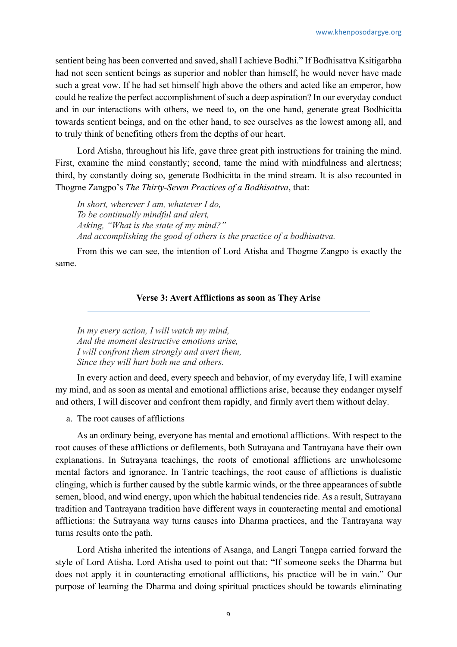sentient being has been converted and saved, shall I achieve Bodhi." If Bodhisattva Ksitigarbha had not seen sentient beings as superior and nobler than himself, he would never have made such a great vow. If he had set himself high above the others and acted like an emperor, how could he realize the perfect accomplishment of such a deep aspiration? In our everyday conduct and in our interactions with others, we need to, on the one hand, generate great Bodhicitta towards sentient beings, and on the other hand, to see ourselves as the lowest among all, and to truly think of benefiting others from the depths of our heart.

Lord Atisha, throughout his life, gave three great pith instructions for training the mind. First, examine the mind constantly; second, tame the mind with mindfulness and alertness; third, by constantly doing so, generate Bodhicitta in the mind stream. It is also recounted in Thogme Zangpo's *The Thirty-Seven Practices of a Bodhisattva*, that:

*In short, wherever I am, whatever I do, To be continually mindful and alert, Asking, "What is the state of my mind?" And accomplishing the good of others is the practice of a bodhisattva.*

From this we can see, the intention of Lord Atisha and Thogme Zangpo is exactly the same.

#### **Verse 3: Avert Afflictions as soon as They Arise**

*In my every action, I will watch my mind, And the moment destructive emotions arise, I will confront them strongly and avert them, Since they will hurt both me and others.*

In every action and deed, every speech and behavior, of my everyday life, I will examine my mind, and as soon as mental and emotional afflictions arise, because they endanger myself and others, I will discover and confront them rapidly, and firmly avert them without delay.

a. The root causes of afflictions

As an ordinary being, everyone has mental and emotional afflictions. With respect to the root causes of these afflictions or defilements, both Sutrayana and Tantrayana have their own explanations. In Sutrayana teachings, the roots of emotional afflictions are unwholesome mental factors and ignorance. In Tantric teachings, the root cause of afflictions is dualistic clinging, which is further caused by the subtle karmic winds, or the three appearances of subtle semen, blood, and wind energy, upon which the habitual tendencies ride. As a result, Sutrayana tradition and Tantrayana tradition have different ways in counteracting mental and emotional afflictions: the Sutrayana way turns causes into Dharma practices, and the Tantrayana way turns results onto the path.

Lord Atisha inherited the intentions of Asanga, and Langri Tangpa carried forward the style of Lord Atisha. Lord Atisha used to point out that: "If someone seeks the Dharma but does not apply it in counteracting emotional afflictions, his practice will be in vain." Our purpose of learning the Dharma and doing spiritual practices should be towards eliminating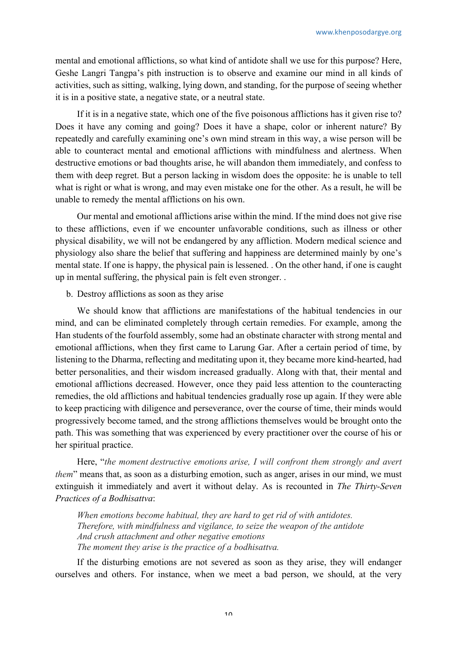mental and emotional afflictions, so what kind of antidote shall we use for this purpose? Here, Geshe Langri Tangpa's pith instruction is to observe and examine our mind in all kinds of activities, such as sitting, walking, lying down, and standing, for the purpose of seeing whether it is in a positive state, a negative state, or a neutral state.

If it is in a negative state, which one of the five poisonous afflictions has it given rise to? Does it have any coming and going? Does it have a shape, color or inherent nature? By repeatedly and carefully examining one's own mind stream in this way, a wise person will be able to counteract mental and emotional afflictions with mindfulness and alertness. When destructive emotions or bad thoughts arise, he will abandon them immediately, and confess to them with deep regret. But a person lacking in wisdom does the opposite: he is unable to tell what is right or what is wrong, and may even mistake one for the other. As a result, he will be unable to remedy the mental afflictions on his own.

Our mental and emotional afflictions arise within the mind. If the mind does not give rise to these afflictions, even if we encounter unfavorable conditions, such as illness or other physical disability, we will not be endangered by any affliction. Modern medical science and physiology also share the belief that suffering and happiness are determined mainly by one's mental state. If one is happy, the physical pain is lessened. . On the other hand, if one is caught up in mental suffering, the physical pain is felt even stronger. .

b. Destroy afflictions as soon as they arise

We should know that afflictions are manifestations of the habitual tendencies in our mind, and can be eliminated completely through certain remedies. For example, among the Han students of the fourfold assembly, some had an obstinate character with strong mental and emotional afflictions, when they first came to Larung Gar. After a certain period of time, by listening to the Dharma, reflecting and meditating upon it, they became more kind-hearted, had better personalities, and their wisdom increased gradually. Along with that, their mental and emotional afflictions decreased. However, once they paid less attention to the counteracting remedies, the old afflictions and habitual tendencies gradually rose up again. If they were able to keep practicing with diligence and perseverance, over the course of time, their minds would progressively become tamed, and the strong afflictions themselves would be brought onto the path. This was something that was experienced by every practitioner over the course of his or her spiritual practice.

Here, "*the moment destructive emotions arise, I will confront them strongly and avert them*" means that, as soon as a disturbing emotion, such as anger, arises in our mind, we must extinguish it immediately and avert it without delay. As is recounted in *The Thirty-Seven Practices of a Bodhisattva*:

*When emotions become habitual, they are hard to get rid of with antidotes. Therefore, with mindfulness and vigilance, to seize the weapon of the antidote And crush attachment and other negative emotions The moment they arise is the practice of a bodhisattva.*

If the disturbing emotions are not severed as soon as they arise, they will endanger ourselves and others. For instance, when we meet a bad person, we should, at the very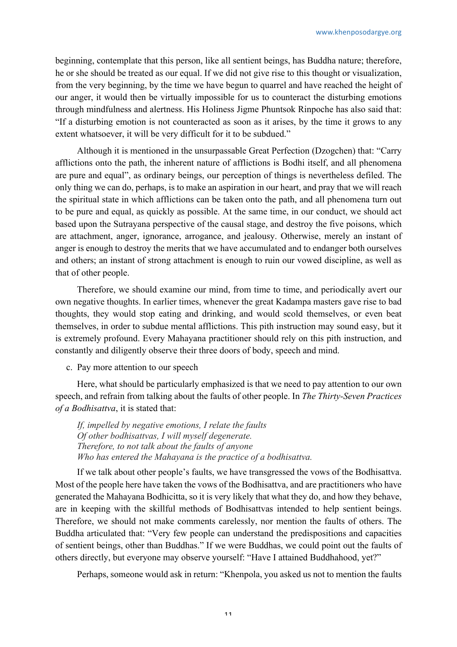beginning, contemplate that this person, like all sentient beings, has Buddha nature; therefore, he or she should be treated as our equal. If we did not give rise to this thought or visualization, from the very beginning, by the time we have begun to quarrel and have reached the height of our anger, it would then be virtually impossible for us to counteract the disturbing emotions through mindfulness and alertness. His Holiness Jigme Phuntsok Rinpoche has also said that: "If a disturbing emotion is not counteracted as soon as it arises, by the time it grows to any extent whatsoever, it will be very difficult for it to be subdued."

Although it is mentioned in the unsurpassable Great Perfection (Dzogchen) that: "Carry afflictions onto the path, the inherent nature of afflictions is Bodhi itself, and all phenomena are pure and equal", as ordinary beings, our perception of things is nevertheless defiled. The only thing we can do, perhaps, is to make an aspiration in our heart, and pray that we will reach the spiritual state in which afflictions can be taken onto the path, and all phenomena turn out to be pure and equal, as quickly as possible. At the same time, in our conduct, we should act based upon the Sutrayana perspective of the causal stage, and destroy the five poisons, which are attachment, anger, ignorance, arrogance, and jealousy. Otherwise, merely an instant of anger is enough to destroy the merits that we have accumulated and to endanger both ourselves and others; an instant of strong attachment is enough to ruin our vowed discipline, as well as that of other people.

Therefore, we should examine our mind, from time to time, and periodically avert our own negative thoughts. In earlier times, whenever the great Kadampa masters gave rise to bad thoughts, they would stop eating and drinking, and would scold themselves, or even beat themselves, in order to subdue mental afflictions. This pith instruction may sound easy, but it is extremely profound. Every Mahayana practitioner should rely on this pith instruction, and constantly and diligently observe their three doors of body, speech and mind.

c. Pay more attention to our speech

Here, what should be particularly emphasized is that we need to pay attention to our own speech, and refrain from talking about the faults of other people. In *The Thirty-Seven Practices of a Bodhisattva*, it is stated that:

*If, impelled by negative emotions, I relate the faults Of other bodhisattvas, I will myself degenerate. Therefore, to not talk about the faults of anyone Who has entered the Mahayana is the practice of a bodhisattva.*

If we talk about other people's faults, we have transgressed the vows of the Bodhisattva. Most of the people here have taken the vows of the Bodhisattva, and are practitioners who have generated the Mahayana Bodhicitta, so it is very likely that what they do, and how they behave, are in keeping with the skillful methods of Bodhisattvas intended to help sentient beings. Therefore, we should not make comments carelessly, nor mention the faults of others. The Buddha articulated that: "Very few people can understand the predispositions and capacities of sentient beings, other than Buddhas." If we were Buddhas, we could point out the faults of others directly, but everyone may observe yourself: "Have I attained Buddhahood, yet?"

Perhaps, someone would ask in return: "Khenpola, you asked us not to mention the faults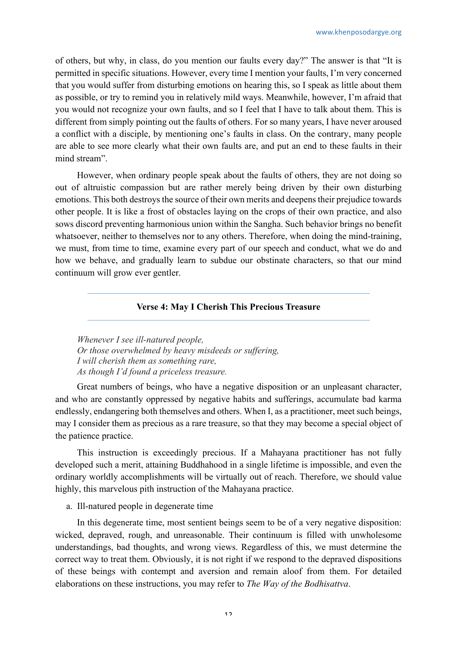of others, but why, in class, do you mention our faults every day?" The answer is that "It is permitted in specific situations. However, every time I mention your faults, I'm very concerned that you would suffer from disturbing emotions on hearing this, so I speak as little about them as possible, or try to remind you in relatively mild ways. Meanwhile, however, I'm afraid that you would not recognize your own faults, and so I feel that I have to talk about them. This is different from simply pointing out the faults of others. For so many years, I have never aroused a conflict with a disciple, by mentioning one's faults in class. On the contrary, many people are able to see more clearly what their own faults are, and put an end to these faults in their mind stream".

However, when ordinary people speak about the faults of others, they are not doing so out of altruistic compassion but are rather merely being driven by their own disturbing emotions. This both destroys the source of their own merits and deepens their prejudice towards other people. It is like a frost of obstacles laying on the crops of their own practice, and also sows discord preventing harmonious union within the Sangha. Such behavior brings no benefit whatsoever, neither to themselves nor to any others. Therefore, when doing the mind-training, we must, from time to time, examine every part of our speech and conduct, what we do and how we behave, and gradually learn to subdue our obstinate characters, so that our mind continuum will grow ever gentler.

# **Verse 4: May I Cherish This Precious Treasure**

*Whenever I see ill-natured people, Or those overwhelmed by heavy misdeeds or suffering, I will cherish them as something rare, As though I'd found a priceless treasure.*

Great numbers of beings, who have a negative disposition or an unpleasant character, and who are constantly oppressed by negative habits and sufferings, accumulate bad karma endlessly, endangering both themselves and others. When I, as a practitioner, meet such beings, may I consider them as precious as a rare treasure, so that they may become a special object of the patience practice.

This instruction is exceedingly precious. If a Mahayana practitioner has not fully developed such a merit, attaining Buddhahood in a single lifetime is impossible, and even the ordinary worldly accomplishments will be virtually out of reach. Therefore, we should value highly, this marvelous pith instruction of the Mahayana practice.

# a. Ill-natured people in degenerate time

In this degenerate time, most sentient beings seem to be of a very negative disposition: wicked, depraved, rough, and unreasonable. Their continuum is filled with unwholesome understandings, bad thoughts, and wrong views. Regardless of this, we must determine the correct way to treat them. Obviously, it is not right if we respond to the depraved dispositions of these beings with contempt and aversion and remain aloof from them. For detailed elaborations on these instructions, you may refer to *The Way of the Bodhisattva*.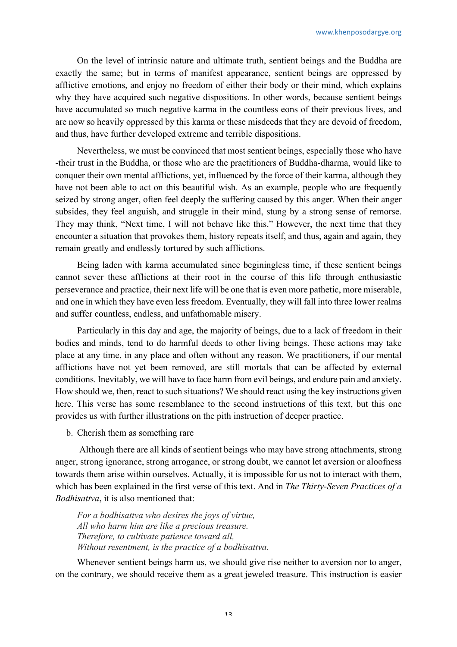On the level of intrinsic nature and ultimate truth, sentient beings and the Buddha are exactly the same; but in terms of manifest appearance, sentient beings are oppressed by afflictive emotions, and enjoy no freedom of either their body or their mind, which explains why they have acquired such negative dispositions. In other words, because sentient beings have accumulated so much negative karma in the countless eons of their previous lives, and are now so heavily oppressed by this karma or these misdeeds that they are devoid of freedom, and thus, have further developed extreme and terrible dispositions.

Nevertheless, we must be convinced that most sentient beings, especially those who have -their trust in the Buddha, or those who are the practitioners of Buddha-dharma, would like to conquer their own mental afflictions, yet, influenced by the force of their karma, although they have not been able to act on this beautiful wish. As an example, people who are frequently seized by strong anger, often feel deeply the suffering caused by this anger. When their anger subsides, they feel anguish, and struggle in their mind, stung by a strong sense of remorse. They may think, "Next time, I will not behave like this." However, the next time that they encounter a situation that provokes them, history repeats itself, and thus, again and again, they remain greatly and endlessly tortured by such afflictions.

Being laden with karma accumulated since beginingless time, if these sentient beings cannot sever these afflictions at their root in the course of this life through enthusiastic perseverance and practice, their next life will be one that is even more pathetic, more miserable, and one in which they have even less freedom. Eventually, they will fall into three lower realms and suffer countless, endless, and unfathomable misery.

Particularly in this day and age, the majority of beings, due to a lack of freedom in their bodies and minds, tend to do harmful deeds to other living beings. These actions may take place at any time, in any place and often without any reason. We practitioners, if our mental afflictions have not yet been removed, are still mortals that can be affected by external conditions. Inevitably, we will have to face harm from evil beings, and endure pain and anxiety. How should we, then, react to such situations? We should react using the key instructions given here. This verse has some resemblance to the second instructions of this text, but this one provides us with further illustrations on the pith instruction of deeper practice.

b. Cherish them as something rare

Although there are all kinds of sentient beings who may have strong attachments, strong anger, strong ignorance, strong arrogance, or strong doubt, we cannot let aversion or aloofness towards them arise within ourselves. Actually, it is impossible for us not to interact with them, which has been explained in the first verse of this text. And in *The Thirty-Seven Practices of a Bodhisattva*, it is also mentioned that:

*For a bodhisattva who desires the joys of virtue, All who harm him are like a precious treasure. Therefore, to cultivate patience toward all, Without resentment, is the practice of a bodhisattva.*

Whenever sentient beings harm us, we should give rise neither to aversion nor to anger, on the contrary, we should receive them as a great jeweled treasure. This instruction is easier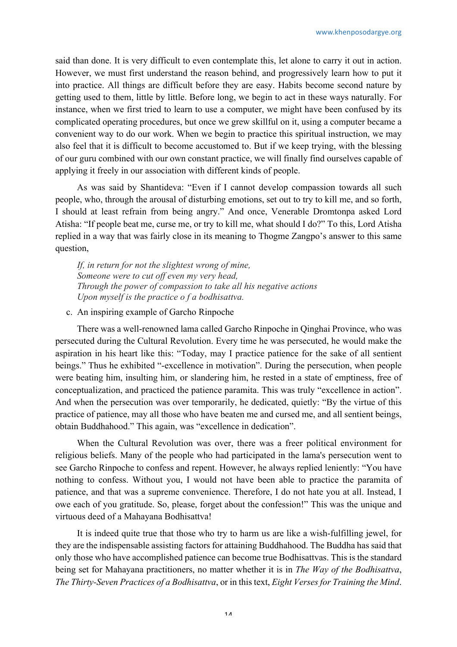said than done. It is very difficult to even contemplate this, let alone to carry it out in action. However, we must first understand the reason behind, and progressively learn how to put it into practice. All things are difficult before they are easy. Habits become second nature by getting used to them, little by little. Before long, we begin to act in these ways naturally. For instance, when we first tried to learn to use a computer, we might have been confused by its complicated operating procedures, but once we grew skillful on it, using a computer became a convenient way to do our work. When we begin to practice this spiritual instruction, we may also feel that it is difficult to become accustomed to. But if we keep trying, with the blessing of our guru combined with our own constant practice, we will finally find ourselves capable of applying it freely in our association with different kinds of people.

As was said by Shantideva: "Even if I cannot develop compassion towards all such people, who, through the arousal of disturbing emotions, set out to try to kill me, and so forth, I should at least refrain from being angry." And once, Venerable Dromtonpa asked Lord Atisha: "If people beat me, curse me, or try to kill me, what should I do?" To this, Lord Atisha replied in a way that was fairly close in its meaning to Thogme Zangpo's answer to this same question,

*If, in return for not the slightest wrong of mine, Someone were to cut off even my very head, Through the power of compassion to take all his negative actions Upon myself is the practice o f a bodhisattva.*

c. An inspiring example of Garcho Rinpoche

There was a well-renowned lama called Garcho Rinpoche in Qinghai Province, who was persecuted during the Cultural Revolution. Every time he was persecuted, he would make the aspiration in his heart like this: "Today, may I practice patience for the sake of all sentient beings." Thus he exhibited "-excellence in motivation". During the persecution, when people were beating him, insulting him, or slandering him, he rested in a state of emptiness, free of conceptualization, and practiced the patience paramita. This was truly "excellence in action". And when the persecution was over temporarily, he dedicated, quietly: "By the virtue of this practice of patience, may all those who have beaten me and cursed me, and all sentient beings, obtain Buddhahood." This again, was "excellence in dedication".

When the Cultural Revolution was over, there was a freer political environment for religious beliefs. Many of the people who had participated in the lama's persecution went to see Garcho Rinpoche to confess and repent. However, he always replied leniently: "You have nothing to confess. Without you, I would not have been able to practice the paramita of patience, and that was a supreme convenience. Therefore, I do not hate you at all. Instead, I owe each of you gratitude. So, please, forget about the confession!" This was the unique and virtuous deed of a Mahayana Bodhisattva!

It is indeed quite true that those who try to harm us are like a wish-fulfilling jewel, for they are the indispensable assisting factors for attaining Buddhahood. The Buddha has said that only those who have accomplished patience can become true Bodhisattvas. This is the standard being set for Mahayana practitioners, no matter whether it is in *The Way of the Bodhisattva*, *The Thirty-Seven Practices of a Bodhisattva*, or in this text, *Eight Verses for Training the Mind*.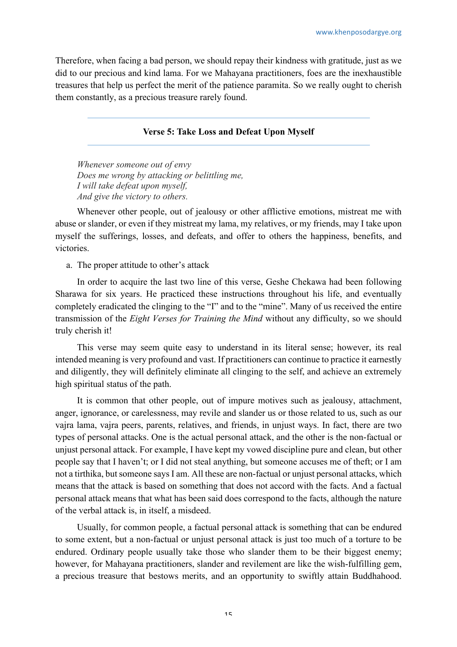Therefore, when facing a bad person, we should repay their kindness with gratitude, just as we did to our precious and kind lama. For we Mahayana practitioners, foes are the inexhaustible treasures that help us perfect the merit of the patience paramita. So we really ought to cherish them constantly, as a precious treasure rarely found.

#### **Verse 5: Take Loss and Defeat Upon Myself**

*Whenever someone out of envy Does me wrong by attacking or belittling me, I will take defeat upon myself, And give the victory to others.*

Whenever other people, out of jealousy or other afflictive emotions, mistreat me with abuse or slander, or even if they mistreat my lama, my relatives, or my friends, may I take upon myself the sufferings, losses, and defeats, and offer to others the happiness, benefits, and victories.

a. The proper attitude to other's attack

In order to acquire the last two line of this verse, Geshe Chekawa had been following Sharawa for six years. He practiced these instructions throughout his life, and eventually completely eradicated the clinging to the "I" and to the "mine". Many of us received the entire transmission of the *Eight Verses for Training the Mind* without any difficulty, so we should truly cherish it!

This verse may seem quite easy to understand in its literal sense; however, its real intended meaning is very profound and vast. If practitioners can continue to practice it earnestly and diligently, they will definitely eliminate all clinging to the self, and achieve an extremely high spiritual status of the path.

It is common that other people, out of impure motives such as jealousy, attachment, anger, ignorance, or carelessness, may revile and slander us or those related to us, such as our vajra lama, vajra peers, parents, relatives, and friends, in unjust ways. In fact, there are two types of personal attacks. One is the actual personal attack, and the other is the non-factual or unjust personal attack. For example, I have kept my vowed discipline pure and clean, but other people say that I haven't; or I did not steal anything, but someone accuses me of theft; or I am not a tirthika, but someone says I am. All these are non-factual or unjust personal attacks, which means that the attack is based on something that does not accord with the facts. And a factual personal attack means that what has been said does correspond to the facts, although the nature of the verbal attack is, in itself, a misdeed.

Usually, for common people, a factual personal attack is something that can be endured to some extent, but a non-factual or unjust personal attack is just too much of a torture to be endured. Ordinary people usually take those who slander them to be their biggest enemy; however, for Mahayana practitioners, slander and revilement are like the wish-fulfilling gem, a precious treasure that bestows merits, and an opportunity to swiftly attain Buddhahood.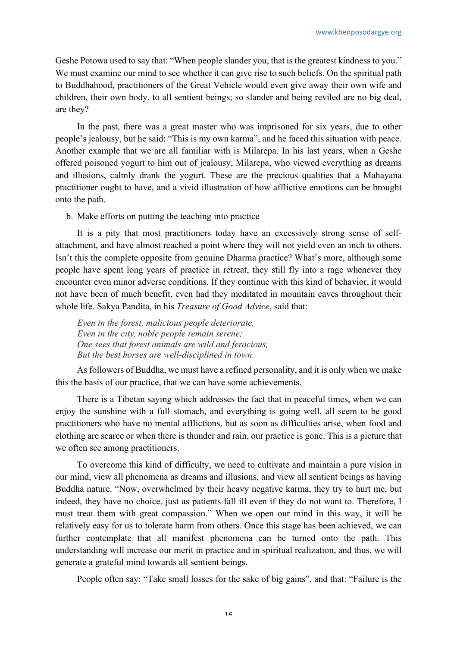Geshe Potowa used to say that: "When people slander you, that is the greatest kindness to you." We must examine our mind to see whether it can give rise to such beliefs. On the spiritual path to Buddhahood, practitioners of the Great Vehicle would even give away their own wife and children, their own body, to all sentient beings; so slander and being reviled are no big deal, are they?

In the past, there was a great master who was imprisoned for six years, due to other people's jealousy, but he said: "This is my own karma", and he faced this situation with peace. Another example that we are all familiar with is Milarepa. In his last years, when a Geshe offered poisoned yogurt to him out of jealousy, Milarepa, who viewed everything as dreams and illusions, calmly drank the yogurt. These are the precious qualities that a Mahayana practitioner ought to have, and a vivid illustration of how afflictive emotions can be brought onto the path.

b. Make efforts on putting the teaching into practice

It is a pity that most practitioners today have an excessively strong sense of selfattachment, and have almost reached a point where they will not yield even an inch to others. Isn't this the complete opposite from genuine Dharma practice? What's more, although some people have spent long years of practice in retreat, they still fly into a rage whenever they encounter even minor adverse conditions. If they continue with this kind of behavior, it would not have been of much benefit, even had they meditated in mountain caves throughout their whole life. Sakya Pandita, in his *Treasure of Good Advice*, said that:

*Even in the forest, malicious people deteriorate, Even in the city, noble people remain serene; One sees that forest animals are wild and ferocious, But the best horses are well-disciplined in town.*

As followers of Buddha, we must have a refined personality, and it is only when we make this the basis of our practice, that we can have some achievements.

There is a Tibetan saying which addresses the fact that in peaceful times, when we can enjoy the sunshine with a full stomach, and everything is going well, all seem to be good practitioners who have no mental afflictions, but as soon as difficulties arise, when food and clothing are scarce or when there is thunder and rain, our practice is gone. This is a picture that we often see among practitioners.

To overcome this kind of difficulty, we need to cultivate and maintain a pure vision in our mind, view all phenomena as dreams and illusions, and view all sentient beings as having Buddha nature. "Now, overwhelmed by their heavy negative karma, they try to hurt me, but indeed, they have no choice, just as patients fall ill even if they do not want to. Therefore, I must treat them with great compassion." When we open our mind in this way, it will be relatively easy for us to tolerate harm from others. Once this stage has been achieved, we can further contemplate that all manifest phenomena can be turned onto the path. This understanding will increase our merit in practice and in spiritual realization, and thus, we will generate a grateful mind towards all sentient beings.

People often say: "Take small losses for the sake of big gains", and that: "Failure is the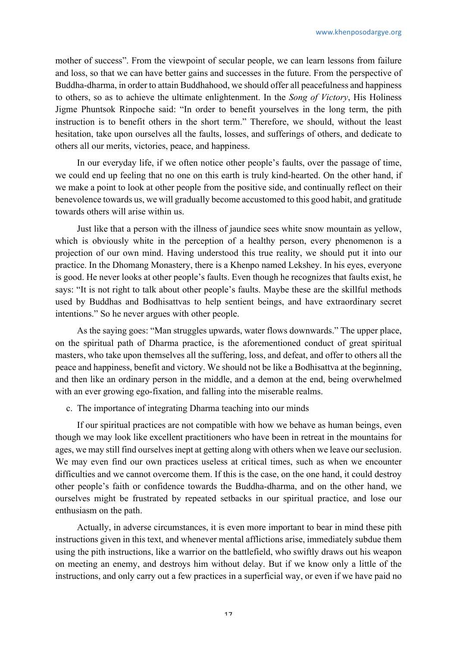mother of success". From the viewpoint of secular people, we can learn lessons from failure and loss, so that we can have better gains and successes in the future. From the perspective of Buddha-dharma, in order to attain Buddhahood, we should offer all peacefulness and happiness to others, so as to achieve the ultimate enlightenment. In the *Song of Victory*, His Holiness Jigme Phuntsok Rinpoche said: "In order to benefit yourselves in the long term, the pith instruction is to benefit others in the short term." Therefore, we should, without the least hesitation, take upon ourselves all the faults, losses, and sufferings of others, and dedicate to others all our merits, victories, peace, and happiness.

In our everyday life, if we often notice other people's faults, over the passage of time, we could end up feeling that no one on this earth is truly kind-hearted. On the other hand, if we make a point to look at other people from the positive side, and continually reflect on their benevolence towards us, we will gradually become accustomed to this good habit, and gratitude towards others will arise within us.

Just like that a person with the illness of jaundice sees white snow mountain as yellow, which is obviously white in the perception of a healthy person, every phenomenon is a projection of our own mind. Having understood this true reality, we should put it into our practice. In the Dhomang Monastery, there is a Khenpo named Lekshey. In his eyes, everyone is good. He never looks at other people's faults. Even though he recognizes that faults exist, he says: "It is not right to talk about other people's faults. Maybe these are the skillful methods used by Buddhas and Bodhisattvas to help sentient beings, and have extraordinary secret intentions." So he never argues with other people.

As the saying goes: "Man struggles upwards, water flows downwards." The upper place, on the spiritual path of Dharma practice, is the aforementioned conduct of great spiritual masters, who take upon themselves all the suffering, loss, and defeat, and offer to others all the peace and happiness, benefit and victory. We should not be like a Bodhisattva at the beginning, and then like an ordinary person in the middle, and a demon at the end, being overwhelmed with an ever growing ego-fixation, and falling into the miserable realms.

c. The importance of integrating Dharma teaching into our minds

If our spiritual practices are not compatible with how we behave as human beings, even though we may look like excellent practitioners who have been in retreat in the mountains for ages, we may still find ourselves inept at getting along with others when we leave our seclusion. We may even find our own practices useless at critical times, such as when we encounter difficulties and we cannot overcome them. If this is the case, on the one hand, it could destroy other people's faith or confidence towards the Buddha-dharma, and on the other hand, we ourselves might be frustrated by repeated setbacks in our spiritual practice, and lose our enthusiasm on the path.

Actually, in adverse circumstances, it is even more important to bear in mind these pith instructions given in this text, and whenever mental afflictions arise, immediately subdue them using the pith instructions, like a warrior on the battlefield, who swiftly draws out his weapon on meeting an enemy, and destroys him without delay. But if we know only a little of the instructions, and only carry out a few practices in a superficial way, or even if we have paid no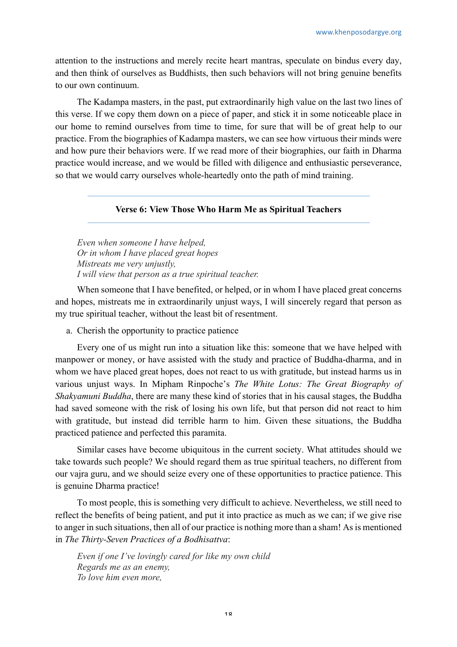attention to the instructions and merely recite heart mantras, speculate on bindus every day, and then think of ourselves as Buddhists, then such behaviors will not bring genuine benefits to our own continuum.

The Kadampa masters, in the past, put extraordinarily high value on the last two lines of this verse. If we copy them down on a piece of paper, and stick it in some noticeable place in our home to remind ourselves from time to time, for sure that will be of great help to our practice. From the biographies of Kadampa masters, we can see how virtuous their minds were and how pure their behaviors were. If we read more of their biographies, our faith in Dharma practice would increase, and we would be filled with diligence and enthusiastic perseverance, so that we would carry ourselves whole-heartedly onto the path of mind training.

#### **Verse 6: View Those Who Harm Me as Spiritual Teachers**

*Even when someone I have helped, Or in whom I have placed great hopes Mistreats me very unjustly, I will view that person as a true spiritual teacher.*

When someone that I have benefited, or helped, or in whom I have placed great concerns and hopes, mistreats me in extraordinarily unjust ways, I will sincerely regard that person as my true spiritual teacher, without the least bit of resentment.

a. Cherish the opportunity to practice patience

Every one of us might run into a situation like this: someone that we have helped with manpower or money, or have assisted with the study and practice of Buddha-dharma, and in whom we have placed great hopes, does not react to us with gratitude, but instead harms us in various unjust ways. In Mipham Rinpoche's *The White Lotus: The Great Biography of Shakyamuni Buddha*, there are many these kind of stories that in his causal stages, the Buddha had saved someone with the risk of losing his own life, but that person did not react to him with gratitude, but instead did terrible harm to him. Given these situations, the Buddha practiced patience and perfected this paramita.

Similar cases have become ubiquitous in the current society. What attitudes should we take towards such people? We should regard them as true spiritual teachers, no different from our vajra guru, and we should seize every one of these opportunities to practice patience. This is genuine Dharma practice!

To most people, this is something very difficult to achieve. Nevertheless, we still need to reflect the benefits of being patient, and put it into practice as much as we can; if we give rise to anger in such situations, then all of our practice is nothing more than a sham! As is mentioned in *The Thirty-Seven Practices of a Bodhisattva*:

*Even if one I've lovingly cared for like my own child Regards me as an enemy, To love him even more,*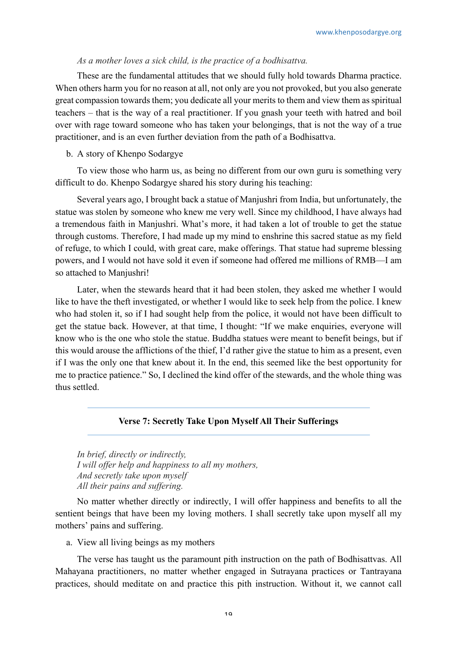#### *As a mother loves a sick child, is the practice of a bodhisattva.*

These are the fundamental attitudes that we should fully hold towards Dharma practice. When others harm you for no reason at all, not only are you not provoked, but you also generate great compassion towards them; you dedicate all your merits to them and view them as spiritual teachers – that is the way of a real practitioner. If you gnash your teeth with hatred and boil over with rage toward someone who has taken your belongings, that is not the way of a true practitioner, and is an even further deviation from the path of a Bodhisattva.

## b. A story of Khenpo Sodargye

To view those who harm us, as being no different from our own guru is something very difficult to do. Khenpo Sodargye shared his story during his teaching:

Several years ago, I brought back a statue of Manjushri from India, but unfortunately, the statue was stolen by someone who knew me very well. Since my childhood, I have always had a tremendous faith in Manjushri. What's more, it had taken a lot of trouble to get the statue through customs. Therefore, I had made up my mind to enshrine this sacred statue as my field of refuge, to which I could, with great care, make offerings. That statue had supreme blessing powers, and I would not have sold it even if someone had offered me millions of RMB—I am so attached to Manjushri!

Later, when the stewards heard that it had been stolen, they asked me whether I would like to have the theft investigated, or whether I would like to seek help from the police. I knew who had stolen it, so if I had sought help from the police, it would not have been difficult to get the statue back. However, at that time, I thought: "If we make enquiries, everyone will know who is the one who stole the statue. Buddha statues were meant to benefit beings, but if this would arouse the afflictions of the thief, I'd rather give the statue to him as a present, even if I was the only one that knew about it. In the end, this seemed like the best opportunity for me to practice patience." So, I declined the kind offer of the stewards, and the whole thing was thus settled.

# **Verse 7: Secretly Take Upon Myself All Their Sufferings**

*In brief, directly or indirectly, I will offer help and happiness to all my mothers, And secretly take upon myself All their pains and suffering.*

No matter whether directly or indirectly, I will offer happiness and benefits to all the sentient beings that have been my loving mothers. I shall secretly take upon myself all my mothers' pains and suffering.

a. View all living beings as my mothers

The verse has taught us the paramount pith instruction on the path of Bodhisattvas. All Mahayana practitioners, no matter whether engaged in Sutrayana practices or Tantrayana practices, should meditate on and practice this pith instruction. Without it, we cannot call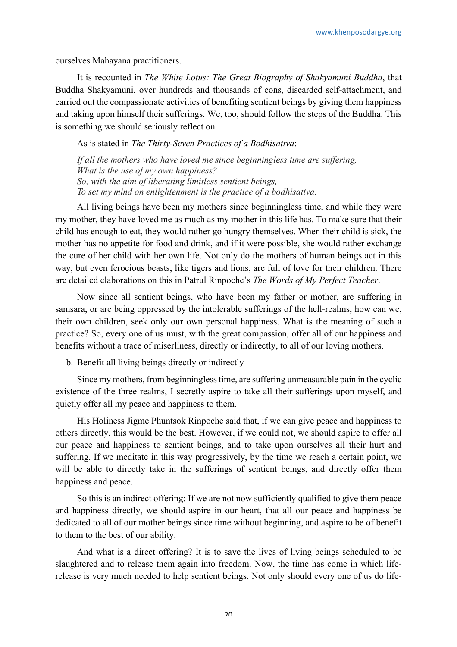ourselves Mahayana practitioners.

It is recounted in *The White Lotus: The Great Biography of Shakyamuni Buddha*, that Buddha Shakyamuni, over hundreds and thousands of eons, discarded self-attachment, and carried out the compassionate activities of benefiting sentient beings by giving them happiness and taking upon himself their sufferings. We, too, should follow the steps of the Buddha. This is something we should seriously reflect on.

As is stated in *The Thirty-Seven Practices of a Bodhisattva*:

*If all the mothers who have loved me since beginningless time are suffering, What is the use of my own happiness? So, with the aim of liberating limitless sentient beings, To set my mind on enlightenment is the practice of a bodhisattva.*

All living beings have been my mothers since beginningless time, and while they were my mother, they have loved me as much as my mother in this life has. To make sure that their child has enough to eat, they would rather go hungry themselves. When their child is sick, the mother has no appetite for food and drink, and if it were possible, she would rather exchange the cure of her child with her own life. Not only do the mothers of human beings act in this way, but even ferocious beasts, like tigers and lions, are full of love for their children. There are detailed elaborations on this in Patrul Rinpoche's *The Words of My Perfect Teacher*.

Now since all sentient beings, who have been my father or mother, are suffering in samsara, or are being oppressed by the intolerable sufferings of the hell-realms, how can we, their own children, seek only our own personal happiness. What is the meaning of such a practice? So, every one of us must, with the great compassion, offer all of our happiness and benefits without a trace of miserliness, directly or indirectly, to all of our loving mothers.

b. Benefit all living beings directly or indirectly

Since my mothers, from beginningless time, are suffering unmeasurable pain in the cyclic existence of the three realms, I secretly aspire to take all their sufferings upon myself, and quietly offer all my peace and happiness to them.

His Holiness Jigme Phuntsok Rinpoche said that, if we can give peace and happiness to others directly, this would be the best. However, if we could not, we should aspire to offer all our peace and happiness to sentient beings, and to take upon ourselves all their hurt and suffering. If we meditate in this way progressively, by the time we reach a certain point, we will be able to directly take in the sufferings of sentient beings, and directly offer them happiness and peace.

So this is an indirect offering: If we are not now sufficiently qualified to give them peace and happiness directly, we should aspire in our heart, that all our peace and happiness be dedicated to all of our mother beings since time without beginning, and aspire to be of benefit to them to the best of our ability.

And what is a direct offering? It is to save the lives of living beings scheduled to be slaughtered and to release them again into freedom. Now, the time has come in which liferelease is very much needed to help sentient beings. Not only should every one of us do life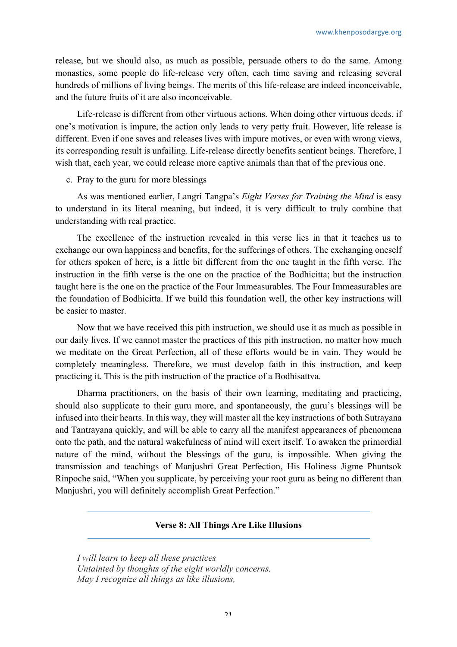release, but we should also, as much as possible, persuade others to do the same. Among monastics, some people do life-release very often, each time saving and releasing several hundreds of millions of living beings. The merits of this life-release are indeed inconceivable, and the future fruits of it are also inconceivable.

Life-release is different from other virtuous actions. When doing other virtuous deeds, if one's motivation is impure, the action only leads to very petty fruit. However, life release is different. Even if one saves and releases lives with impure motives, or even with wrong views, its corresponding result is unfailing. Life-release directly benefits sentient beings. Therefore, I wish that, each year, we could release more captive animals than that of the previous one.

#### c. Pray to the guru for more blessings

As was mentioned earlier, Langri Tangpa's *Eight Verses for Training the Mind* is easy to understand in its literal meaning, but indeed, it is very difficult to truly combine that understanding with real practice.

The excellence of the instruction revealed in this verse lies in that it teaches us to exchange our own happiness and benefits, for the sufferings of others. The exchanging oneself for others spoken of here, is a little bit different from the one taught in the fifth verse. The instruction in the fifth verse is the one on the practice of the Bodhicitta; but the instruction taught here is the one on the practice of the Four Immeasurables. The Four Immeasurables are the foundation of Bodhicitta. If we build this foundation well, the other key instructions will be easier to master.

Now that we have received this pith instruction, we should use it as much as possible in our daily lives. If we cannot master the practices of this pith instruction, no matter how much we meditate on the Great Perfection, all of these efforts would be in vain. They would be completely meaningless. Therefore, we must develop faith in this instruction, and keep practicing it. This is the pith instruction of the practice of a Bodhisattva.

Dharma practitioners, on the basis of their own learning, meditating and practicing, should also supplicate to their guru more, and spontaneously, the guru's blessings will be infused into their hearts. In this way, they will master all the key instructions of both Sutrayana and Tantrayana quickly, and will be able to carry all the manifest appearances of phenomena onto the path, and the natural wakefulness of mind will exert itself. To awaken the primordial nature of the mind, without the blessings of the guru, is impossible. When giving the transmission and teachings of Manjushri Great Perfection, His Holiness Jigme Phuntsok Rinpoche said, "When you supplicate, by perceiving your root guru as being no different than Manjushri, you will definitely accomplish Great Perfection."

# **Verse 8: All Things Are Like Illusions**

*I will learn to keep all these practices Untainted by thoughts of the eight worldly concerns. May I recognize all things as like illusions,*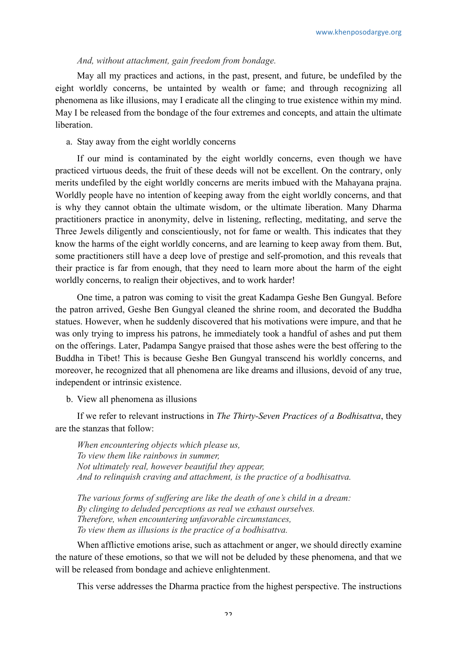#### *And, without attachment, gain freedom from bondage.*

May all my practices and actions, in the past, present, and future, be undefiled by the eight worldly concerns, be untainted by wealth or fame; and through recognizing all phenomena as like illusions, may I eradicate all the clinging to true existence within my mind. May I be released from the bondage of the four extremes and concepts, and attain the ultimate liberation.

#### a. Stay away from the eight worldly concerns

If our mind is contaminated by the eight worldly concerns, even though we have practiced virtuous deeds, the fruit of these deeds will not be excellent. On the contrary, only merits undefiled by the eight worldly concerns are merits imbued with the Mahayana prajna. Worldly people have no intention of keeping away from the eight worldly concerns, and that is why they cannot obtain the ultimate wisdom, or the ultimate liberation. Many Dharma practitioners practice in anonymity, delve in listening, reflecting, meditating, and serve the Three Jewels diligently and conscientiously, not for fame or wealth. This indicates that they know the harms of the eight worldly concerns, and are learning to keep away from them. But, some practitioners still have a deep love of prestige and self-promotion, and this reveals that their practice is far from enough, that they need to learn more about the harm of the eight worldly concerns, to realign their objectives, and to work harder!

One time, a patron was coming to visit the great Kadampa Geshe Ben Gungyal. Before the patron arrived, Geshe Ben Gungyal cleaned the shrine room, and decorated the Buddha statues. However, when he suddenly discovered that his motivations were impure, and that he was only trying to impress his patrons, he immediately took a handful of ashes and put them on the offerings. Later, Padampa Sangye praised that those ashes were the best offering to the Buddha in Tibet! This is because Geshe Ben Gungyal transcend his worldly concerns, and moreover, he recognized that all phenomena are like dreams and illusions, devoid of any true, independent or intrinsic existence.

b. View all phenomena as illusions

If we refer to relevant instructions in *The Thirty-Seven Practices of a Bodhisattva*, they are the stanzas that follow:

*When encountering objects which please us, To view them like rainbows in summer, Not ultimately real, however beautiful they appear, And to relinquish craving and attachment, is the practice of a bodhisattva.*

*The various forms of suffering are like the death of one's child in a dream: By clinging to deluded perceptions as real we exhaust ourselves. Therefore, when encountering unfavorable circumstances, To view them as illusions is the practice of a bodhisattva.*

When afflictive emotions arise, such as attachment or anger, we should directly examine the nature of these emotions, so that we will not be deluded by these phenomena, and that we will be released from bondage and achieve enlightenment.

This verse addresses the Dharma practice from the highest perspective. The instructions